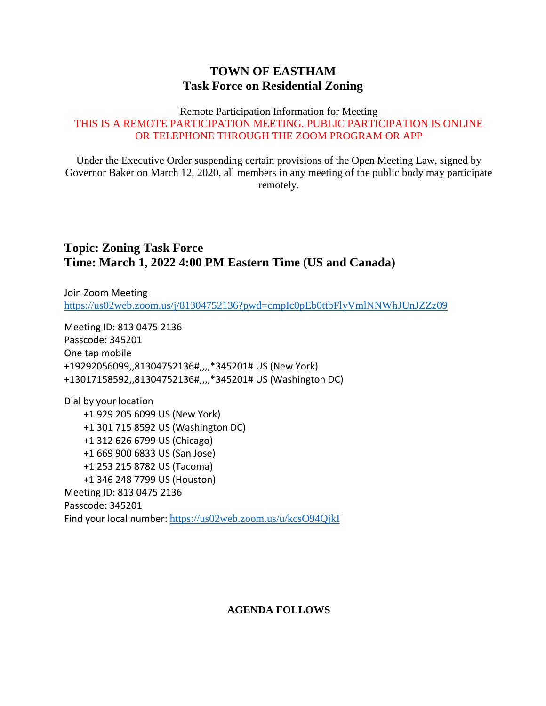## **TOWN OF EASTHAM Task Force on Residential Zoning**

#### Remote Participation Information for Meeting THIS IS A REMOTE PARTICIPATION MEETING. PUBLIC PARTICIPATION IS ONLINE OR TELEPHONE THROUGH THE ZOOM PROGRAM OR APP

Under the Executive Order suspending certain provisions of the Open Meeting Law, signed by Governor Baker on March 12, 2020, all members in any meeting of the public body may participate remotely.

## **Topic: Zoning Task Force Time: March 1, 2022 4:00 PM Eastern Time (US and Canada)**

Join Zoom Meeting <https://us02web.zoom.us/j/81304752136?pwd=cmpIc0pEb0ttbFlyVmlNNWhJUnJZZz09>

Meeting ID: 813 0475 2136 Passcode: 345201 One tap mobile +19292056099,,81304752136#,,,,\*345201# US (New York) +13017158592,,81304752136#,,,,\*345201# US (Washington DC)

Dial by your location +1 929 205 6099 US (New York) +1 301 715 8592 US (Washington DC) +1 312 626 6799 US (Chicago) +1 669 900 6833 US (San Jose) +1 253 215 8782 US (Tacoma) +1 346 248 7799 US (Houston) Meeting ID: 813 0475 2136 Passcode: 345201 Find your local number: <https://us02web.zoom.us/u/kcsO94QjkI>

#### **AGENDA FOLLOWS**